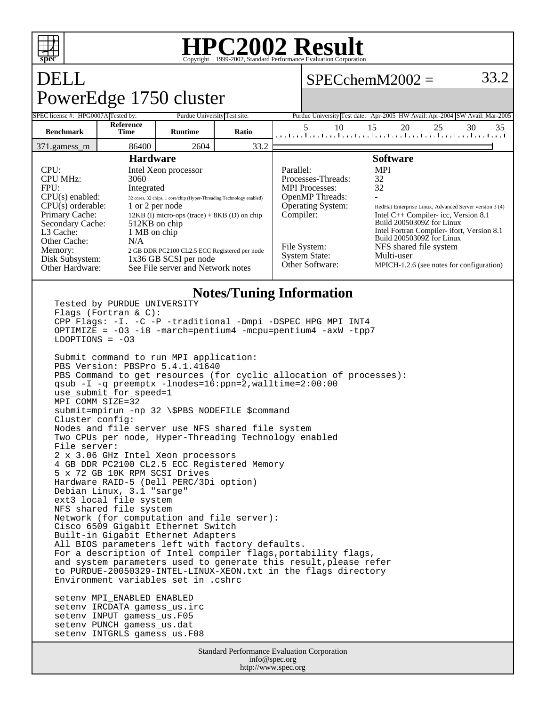

### **HPC2002 Result** Copyright ©1999-2002, Stand

 $SPECchemM2002 = 33.2$ 

# DELL PowerEdge 1750 cluster

setenv PUNCH gamess\_us.dat setenv INTGRLS gamess\_us.F08

| SPEC license #: HPG0007A Tested by:                                                                                                            |                                                                                                  | Purdue University Test site:                                                                                                                   |                                                                                            | Purdue University Test date: Apr-2005 HW Avail: Apr-2004 SW Avail: Mar-2005                                                 |                                                                                                                                                                                                                                                      |          |    |    |
|------------------------------------------------------------------------------------------------------------------------------------------------|--------------------------------------------------------------------------------------------------|------------------------------------------------------------------------------------------------------------------------------------------------|--------------------------------------------------------------------------------------------|-----------------------------------------------------------------------------------------------------------------------------|------------------------------------------------------------------------------------------------------------------------------------------------------------------------------------------------------------------------------------------------------|----------|----|----|
| <b>Benchmark</b>                                                                                                                               | Reference<br>Time                                                                                | <b>Runtime</b>                                                                                                                                 | Ratio                                                                                      | 5<br>10<br>المتحاجين المتحاجين المتحاجين المتحاجين المتحاجين المتحاجين المتحاجين                                            | 15                                                                                                                                                                                                                                                   | 20<br>25 | 30 | 35 |
| 371.gamess m                                                                                                                                   | 86400                                                                                            | 2604                                                                                                                                           | 33.2                                                                                       |                                                                                                                             |                                                                                                                                                                                                                                                      |          |    |    |
| CPU:<br><b>CPU MHz:</b><br>FPU:<br>$CPU(s)$ enabled:<br>$CPU(s)$ orderable:<br>Primary Cache:<br>Secondary Cache:<br>L3 Cache:<br>Other Cache: | <b>Hardware</b><br>3060<br>Integrated<br>1 or 2 per node<br>512KB on chip<br>1 MB on chip<br>N/A | Intel Xeon processor<br>32 cores, 32 chips, 1 core/chip (Hyper-Threading Technology enabled)<br>$12KB$ (I) micro-ops (trace) + 8KB (D) on chip |                                                                                            | Parallel:<br>Processes-Threads:<br><b>MPI</b> Processes:<br><b>OpenMP</b> Threads:<br><b>Operating System:</b><br>Compiler: | <b>Software</b><br><b>MPI</b><br>32<br>32<br>RedHat Enterprise Linux, Advanced Server version 3 (4)<br>Intel $C++$ Compiler-icc, Version 8.1<br>Build 20050309Z for Linux<br>Intel Fortran Compiler- ifort, Version 8.1<br>Build 20050309Z for Linux |          |    |    |
| Memory:<br>Disk Subsystem:<br>Other Hardware:                                                                                                  |                                                                                                  | 2 GB DDR PC2100 CL2.5 ECC Registered per node<br>1x36 GB SCSI per node<br>See File server and Network notes                                    | File System:<br><b>System State:</b><br>Other Software:<br><b>Notes/Tuning Information</b> | NFS shared file system<br>Multi-user<br>MPICH-1.2.6 (see notes for configuration)                                           |                                                                                                                                                                                                                                                      |          |    |    |

#### **Notes/Tuning Information** Tested by PURDUE UNIVERSITY Flags (Fortran & C): CPP Flags: -I. -C -P -traditional -Dmpi -DSPEC\_HPG\_MPI\_INT4 OPTIMIZE = -O3 -i8 -march=pentium4 -mcpu=pentium4 -axW -tpp7  $LDOPTIONS = -03$ Submit command to run MPI application: PBS Version: PBSPro 5.4.1.41640 PBS Command to get resources (for cyclic allocation of processes): qsub -I -q preemptx -lnodes=16:ppn=2,walltime=2:00:00 use\_submit\_for\_speed=1 MPI\_COMM\_SIZE=32 submit=mpirun -np 32 \\$PBS\_NODEFILE \$command Cluster config: Nodes and file server use NFS shared file system Two CPUs per node, Hyper-Threading Technology enabled File server: 2 x 3.06 GHz Intel Xeon processors 4 GB DDR PC2100 CL2.5 ECC Registered Memory 5 x 72 GB 10K RPM SCSI Drives Hardware RAID-5 (Dell PERC/3Di option) Debian Linux, 3.1 "sarge" ext3 local file system NFS shared file system Network (for computation and file server): Cisco 6509 Gigabit Ethernet Switch Built-in Gigabit Ethernet Adapters All BIOS parameters left with factory defaults. For a description of Intel compiler flags, portability flags, and system parameters used to generate this result,please refer to PURDUE-20050329-INTEL-LINUX-XEON.txt in the flags directory Environment variables set in .cshrc setenv MPI\_ENABLED ENABLED setenv IRCDATA gamess\_us.irc setenv INPUT gamess\_us.F05

Standard Performance Evaluation Corporation info@spec.org http://www.spec.org